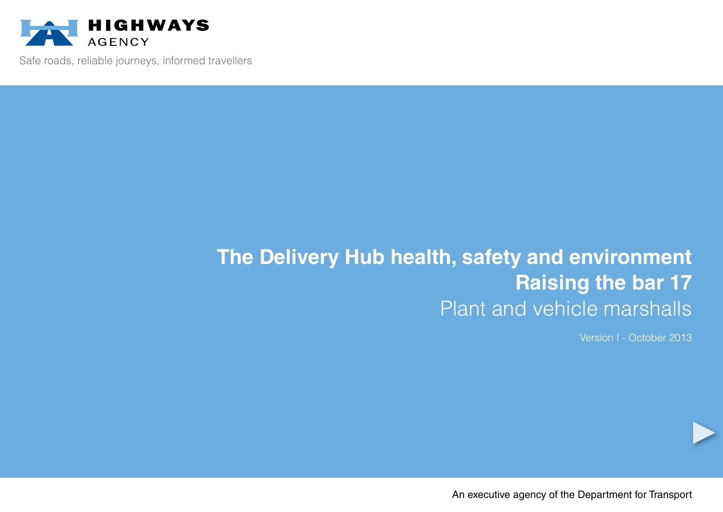

Safe roads, reliable journeys, informed travellers

# **The Delivery Hub health, safety and environment Raising the bar 17** Plant and vehicle marshalls

Version I - October 2013

An executive agency of the Department for Transport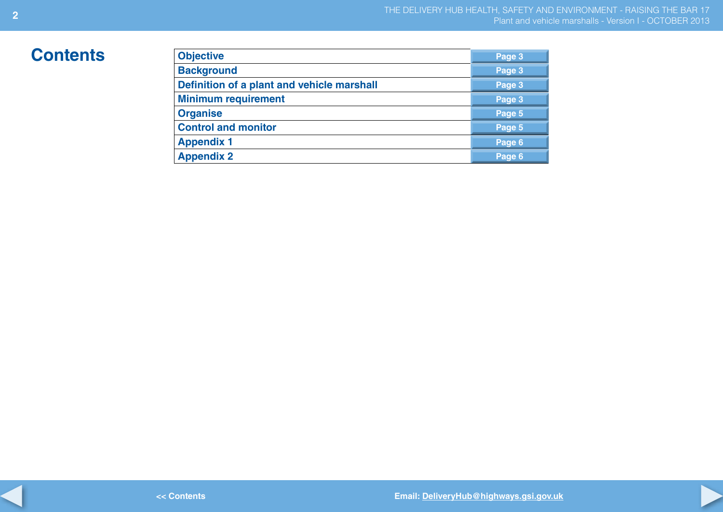## $Contents$

| <b>Objective</b>                           | Page 3 |
|--------------------------------------------|--------|
| <b>Background</b>                          | Page 3 |
| Definition of a plant and vehicle marshall | Page 3 |
| <b>Minimum requirement</b>                 | Page 3 |
| <b>Organise</b>                            | Page 5 |
| <b>Control and monitor</b>                 | Page 5 |
| <b>Appendix 1</b>                          | Page 6 |
| <b>Appendix 2</b>                          | Page 6 |

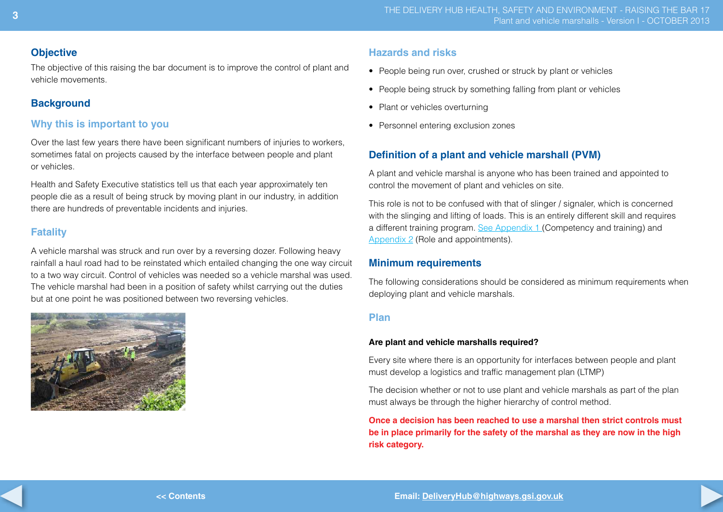#### **Objective**

The objective of this raising the bar document is to improve the control of plant and vehicle movements.

## **Background**

## **Why this is important to you**

Over the last few years there have been significant numbers of injuries to workers, sometimes fatal on projects caused by the interface between people and plant or vehicles.

Health and Safety Executive statistics tell us that each year approximately ten people die as a result of being struck by moving plant in our industry, in addition there are hundreds of preventable incidents and injuries.

## **Fatality**

A vehicle marshal was struck and run over by a reversing dozer. Following heavy rainfall a haul road had to be reinstated which entailed changing the one way circuit to a two way circuit. Control of vehicles was needed so a vehicle marshal was used. The vehicle marshal had been in a position of safety whilst carrying out the duties but at one point he was positioned between two reversing vehicles.



## **Hazards and risks**

- People being run over, crushed or struck by plant or vehicles
- People being struck by something falling from plant or vehicles
- Plant or vehicles overturning
- Personnel entering exclusion zones

## **Definition of a plant and vehicle marshall (PVM)**

A plant and vehicle marshal is anyone who has been trained and appointed to control the movement of plant and vehicles on site.

This role is not to be confused with that of slinger / signaler, which is concerned with the slinging and lifting of loads. This is an entirely different skill and requires a different training program. [See Appendix 1](#page-5-0) (Competency and training) and [Appendix 2](#page-5-0) (Role and appointments).

## **Minimum requirements**

The following considerations should be considered as minimum requirements when deploying plant and vehicle marshals.

#### **Plan**

#### **Are plant and vehicle marshalls required?**

Every site where there is an opportunity for interfaces between people and plant must develop a logistics and traffic management plan (LTMP)

The decision whether or not to use plant and vehicle marshals as part of the plan must always be through the higher hierarchy of control method.

**Once a decision has been reached to use a marshal then strict controls must be in place primarily for the safety of the marshal as they are now in the high risk category.**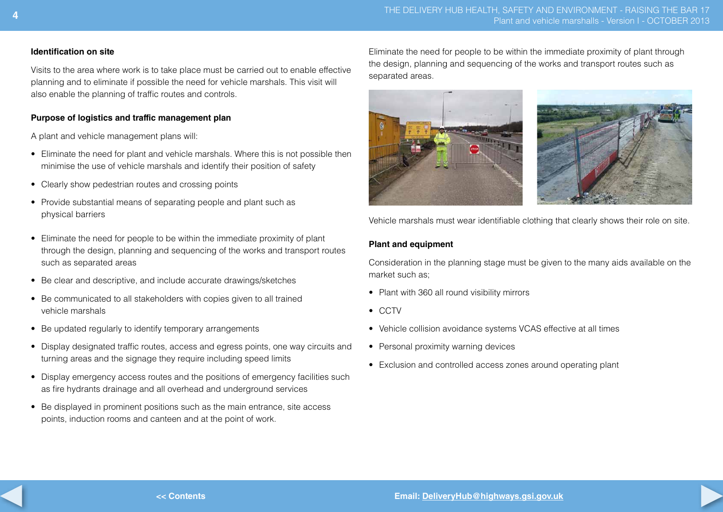#### **Identification on site**

Visits to the area where work is to take place must be carried out to enable effective planning and to eliminate if possible the need for vehicle marshals. This visit will also enable the planning of traffic routes and controls.

#### **Purpose of logistics and traffic management plan**

A plant and vehicle management plans will:

- Eliminate the need for plant and vehicle marshals. Where this is not possible then minimise the use of vehicle marshals and identify their position of safety
- Clearly show pedestrian routes and crossing points
- Provide substantial means of separating people and plant such as physical barriers
- Eliminate the need for people to be within the immediate proximity of plant through the design, planning and sequencing of the works and transport routes such as separated areas
- Be clear and descriptive, and include accurate drawings/sketches
- Be communicated to all stakeholders with copies given to all trained vehicle marshals
- Be updated regularly to identify temporary arrangements
- Display designated traffic routes, access and egress points, one way circuits and turning areas and the signage they require including speed limits
- Display emergency access routes and the positions of emergency facilities such as fire hydrants drainage and all overhead and underground services
- Be displayed in prominent positions such as the main entrance, site access points, induction rooms and canteen and at the point of work.

Eliminate the need for people to be within the immediate proximity of plant through the design, planning and sequencing of the works and transport routes such as separated areas.



Vehicle marshals must wear identifiable clothing that clearly shows their role on site.

#### **Plant and equipment**

Consideration in the planning stage must be given to the many aids available on the market such as;

- Plant with 360 all round visibility mirrors
- • CCTV
- Vehicle collision avoidance systems VCAS effective at all times
- Personal proximity warning devices
- Exclusion and controlled access zones around operating plant



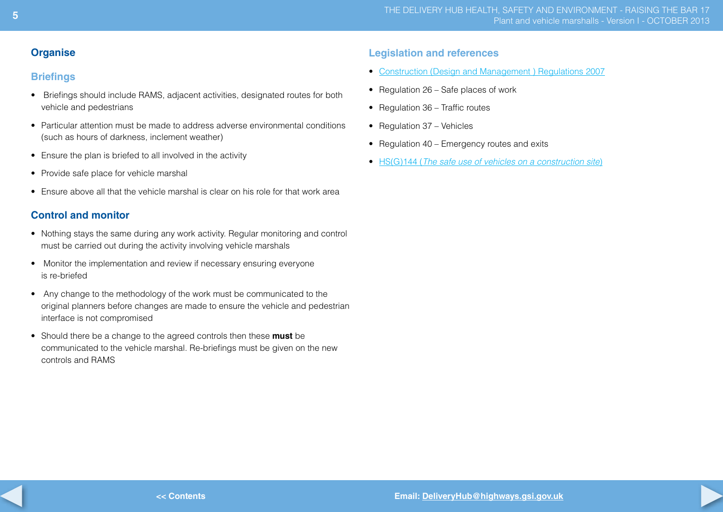#### **Organise**

#### **Briefings**

- Briefings should include RAMS, adjacent activities, designated routes for both vehicle and pedestrians
- Particular attention must be made to address adverse environmental conditions (such as hours of darkness, inclement weather)
- Ensure the plan is briefed to all involved in the activity
- Provide safe place for vehicle marshal
- Ensure above all that the vehicle marshal is clear on his role for that work area

## **Control and monitor**

- Nothing stays the same during any work activity. Regular monitoring and control must be carried out during the activity involving vehicle marshals
- Monitor the implementation and review if necessary ensuring everyone is re-briefed
- Any change to the methodology of the work must be communicated to the original planners before changes are made to ensure the vehicle and pedestrian interface is not compromised
- Should there be a change to the agreed controls then these **must** be communicated to the vehicle marshal. Re-briefings must be given on the new controls and RAMS

#### **Legislation and references**

- Construction (Design and [Management](http://www.legislation.gov.uk/uksi/2007/320/contents/made) ) Regulations 2007
- Regulation 26 Safe places of work
- Regulation 36 Traffic routes
- Regulation 37 Vehicles
- Regulation 40 Emergency routes and exits
- • HS(G)144 (*[The safe use of vehicles on a construction site](http://books.hse.gov.uk/hse/public/saleproduct.jsf?catalogueCode=9780717662913)*)

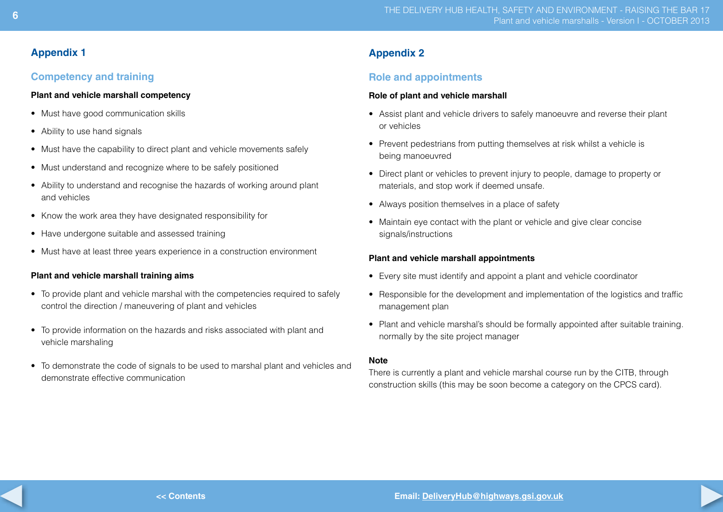## <span id="page-5-0"></span>**Appendix 1**

## **Competency and training**

#### **Plant and vehicle marshall competency**

- Must have good communication skills
- Ability to use hand signals
- Must have the capability to direct plant and vehicle movements safely
- Must understand and recognize where to be safely positioned
- Ability to understand and recognise the hazards of working around plant and vehicles
- Know the work area they have designated responsibility for
- Have undergone suitable and assessed training
- Must have at least three years experience in a construction environment

#### **Plant and vehicle marshall training aims**

- To provide plant and vehicle marshal with the competencies required to safely control the direction / maneuvering of plant and vehicles
- To provide information on the hazards and risks associated with plant and vehicle marshaling
- To demonstrate the code of signals to be used to marshal plant and vehicles and demonstrate effective communication

## **Appendix 2**

## **Role and appointments**

#### **Role of plant and vehicle marshall**

- Assist plant and vehicle drivers to safely manoeuvre and reverse their plant or vehicles
- Prevent pedestrians from putting themselves at risk whilst a vehicle is being manoeuvred
- Direct plant or vehicles to prevent injury to people, damage to property or materials, and stop work if deemed unsafe.
- Always position themselves in a place of safety
- Maintain eve contact with the plant or vehicle and give clear concise signals/instructions

#### **Plant and vehicle marshall appointments**

- Every site must identify and appoint a plant and vehicle coordinator
- Responsible for the development and implementation of the logistics and traffic management plan
- Plant and vehicle marshal's should be formally appointed after suitable training. normally by the site project manager

#### **Note**

There is currently a plant and vehicle marshal course run by the CITB, through construction skills (this may be soon become a category on the CPCS card).